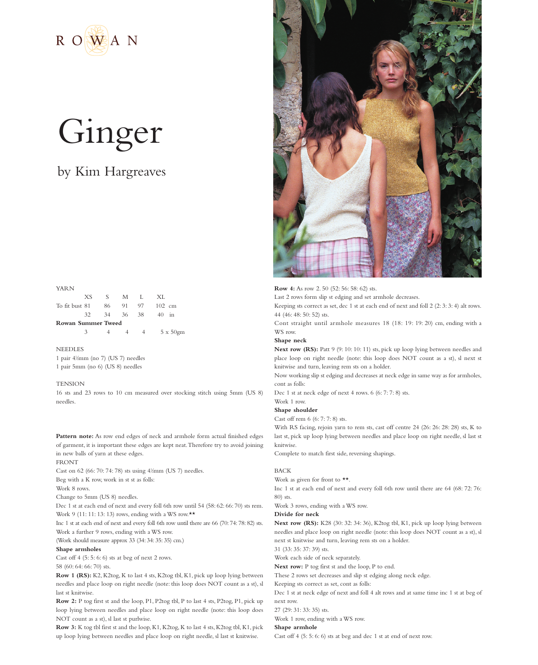

# Ginger

## by Kim Hargreaves

#### YARN

|                           | XS. | S        | M | - L | XL                   |
|---------------------------|-----|----------|---|-----|----------------------|
| To fit bust 81            |     | 86       |   |     | 91 97 102 cm         |
|                           | 32. | 34 36 38 |   |     | $40 \quad \text{in}$ |
| <b>Rowan Summer Tweed</b> |     |          |   |     |                      |
|                           | 3   |          |   |     | $5 \times 50$ gm     |

**NEEDLES** 1 pair 41 ⁄2mm (no 7) (US 7) needles 1 pair 5mm (no 6) (US 8) needles

#### TENSION

16 sts and 23 rows to 10 cm measured over stocking stitch using 5mm (US 8) needles.

Pattern note: As row end edges of neck and armhole form actual finished edges of garment, it is important these edges are kept neat. Therefore try to avoid joining in new balls of yarn at these edges.

#### FRONT

Cast on 62 (66: 70: 74: 78) sts using 4<sup>1</sup>/<sub>2</sub>mm (US 7) needles.

Beg with a K row, work in st st as folls:

Work 8 rows.

Change to 5mm (US 8) needles.

Dec 1 st at each end of next and every foll 6th row until 54 (58: 62: 66: 70) sts rem. Work 9 (11: 11: 13: 13) rows, ending with a WS row.\*\*

Inc 1 st at each end of next and every foll 6th row until there are 66 (70: 74: 78: 82) sts. Work a further 9 rows, ending with a WS row.

(Work should measure approx 33 (34: 34: 35: 35) cm.)

#### **Shape armholes**

Cast off 4 (5: 5: 6: 6) sts at beg of next 2 rows. 58 (60: 64: 66: 70) sts.

**Row 1 (RS):** K2, K2tog, K to last 4 sts, K2tog tbl, K1, pick up loop lying between needles and place loop on right needle (note: this loop does NOT count as a st), sl last st knitwise.

**Row 2:** P tog first st and the loop, P1, P2tog tbl, P to last 4 sts, P2tog, P1, pick up loop lying between needles and place loop on right needle (note: this loop does NOT count as a st), sl last st purlwise.

**Row 3:** K tog tbl first st and the loop, K1, K2tog, K to last 4 sts, K2tog tbl, K1, pick up loop lying between needles and place loop on right needle, sl last st knitwise.



**Row 4:** As row 2. 50 (52: 56: 58: 62) sts. Last 2 rows form slip st edging and set armhole decreases. Keeping sts correct as set, dec 1 st at each end of next and foll 2 (2: 3: 3: 4) alt rows. 44 (46: 48: 50: 52) sts. Cont straight until armhole measures 18 (18: 19: 19: 20) cm, ending with a WS row. **Shape neck Next row (RS):** Patt 9 (9: 10: 10: 11) sts, pick up loop lying between needles and place loop on right needle (note: this loop does NOT count as a st), sl next st knitwise and turn, leaving rem sts on a holder. Now working slip st edging and decreases at neck edge in same way as for armholes, cont as folls: Dec 1 st at neck edge of next 4 rows. 6 (6: 7: 7: 8) sts. Work 1 row. **Shape shoulder** Cast off rem 6 (6: 7: 7: 8) sts. With RS facing, rejoin yarn to rem sts, cast off centre 24 (26: 26: 28: 28) sts, K to last st, pick up loop lying between needles and place loop on right needle, sl last st knitwise. Complete to match first side, reversing shapings. BACK Work as given for front to  $**$ . Inc 1 st at each end of next and every foll 6th row until there are 64 (68: 72: 76: 80) sts. Work 3 rows, ending with a WS row. **Divide for neck Next row (RS):** K28 (30: 32: 34: 36), K2tog tbl, K1, pick up loop lying between needles and place loop on right needle (note: this loop does NOT count as a st), sl

next st knitwise and turn, leaving rem sts on a holder.

31 (33: 35: 37: 39) sts.

Work each side of neck separately.

**Next row:** P tog first st and the loop, P to end.

These 2 rows set decreases and slip st edging along neck edge.

Keeping sts correct as set, cont as folls:

Dec 1 st at neck edge of next and foll 4 alt rows and at same time inc 1 st at beg of next row.

27 (29: 31: 33: 35) sts.

Work 1 row, ending with a WS row.

#### **Shape armhole**

Cast off 4 (5: 5: 6: 6) sts at beg and dec 1 st at end of next row.